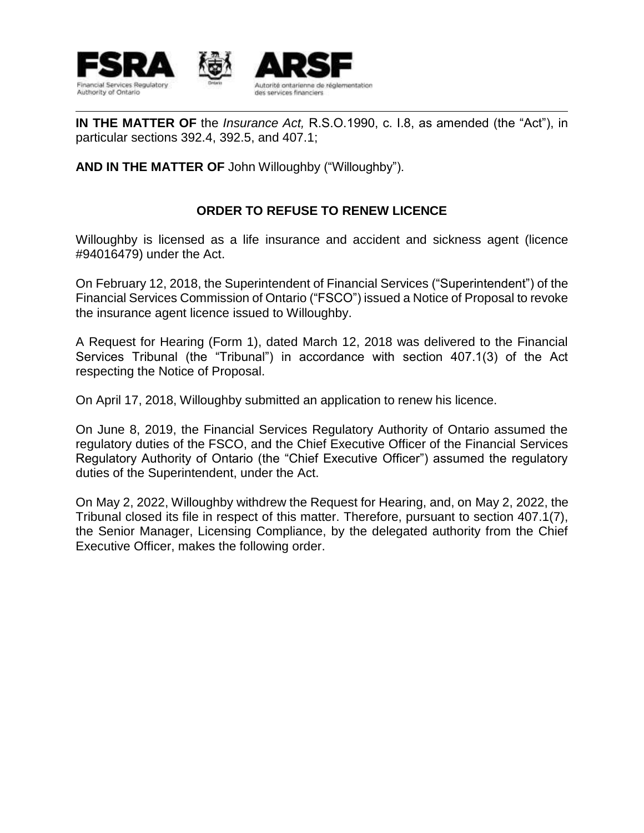

**IN THE MATTER OF** the *Insurance Act,* R.S.O.1990, c. I.8, as amended (the "Act"), in particular sections 392.4, 392.5, and 407.1;

**AND IN THE MATTER OF** John Willoughby ("Willoughby").

## **ORDER TO REFUSE TO RENEW LICENCE**

Willoughby is licensed as a life insurance and accident and sickness agent (licence #94016479) under the Act.

On February 12, 2018, the Superintendent of Financial Services ("Superintendent") of the Financial Services Commission of Ontario ("FSCO") issued a Notice of Proposal to revoke the insurance agent licence issued to Willoughby.

A Request for Hearing (Form 1), dated March 12, 2018 was delivered to the Financial Services Tribunal (the "Tribunal") in accordance with section 407.1(3) of the Act respecting the Notice of Proposal.

On April 17, 2018, Willoughby submitted an application to renew his licence.

On June 8, 2019, the Financial Services Regulatory Authority of Ontario assumed the regulatory duties of the FSCO, and the Chief Executive Officer of the Financial Services Regulatory Authority of Ontario (the "Chief Executive Officer") assumed the regulatory duties of the Superintendent, under the Act.

On May 2, 2022, Willoughby withdrew the Request for Hearing, and, on May 2, 2022, the Tribunal closed its file in respect of this matter. Therefore, pursuant to section 407.1(7), the Senior Manager, Licensing Compliance, by the delegated authority from the Chief Executive Officer, makes the following order.